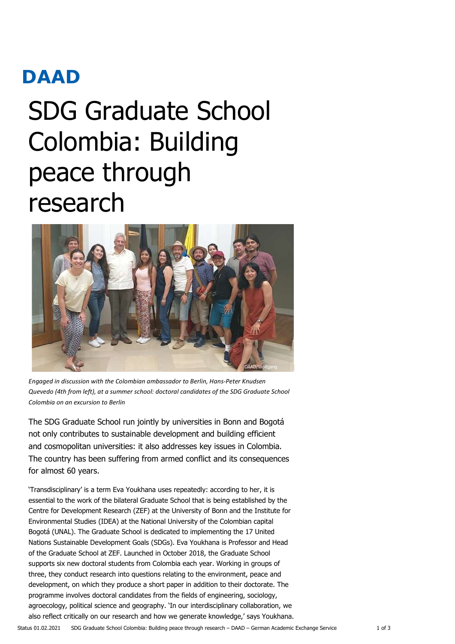# **DAAD**

# SDG Graduate School Colombia: Building peace through research



Engaged in discussion with the Colombian ambassador to Berlin, Hans-Peter Knudsen Quevedo (4th from left), at a summer school: doctoral candidates of the SDG Graduate School Colombia on an excursion to Berlin

The SDG Graduate School run jointly by universities in Bonn and Bogotá not only contributes to sustainable development and building efficient and cosmopolitan universities: it also addresses key issues in Colombia. The country has been suffering from armed conflict and its consequences for almost 60 years.

'Transdisciplinary' is a term Eva Youkhana uses repeatedly: according to her, it is essential to the work of the bilateral Graduate School that is being established by the Centre for Development Research (ZEF) at the University of Bonn and the Institute for Environmental Studies (IDEA) at the National University of the Colombian capital Bogotá (UNAL). The Graduate School is dedicated to implementing the 17 United Nations Sustainable Development Goals (SDGs). Eva Youkhana is Professor and Head of the Graduate School at ZEF. Launched in October 2018, the Graduate School supports six new doctoral students from Colombia each year. Working in groups of three, they conduct research into questions relating to the environment, peace and development, on which they produce a short paper in addition to their doctorate. The programme involves doctoral candidates from the fields of engineering, sociology, agroecology, political science and geography. 'In our interdisciplinary collaboration, we also reflect critically on our research and how we generate knowledge,' says Youkhana.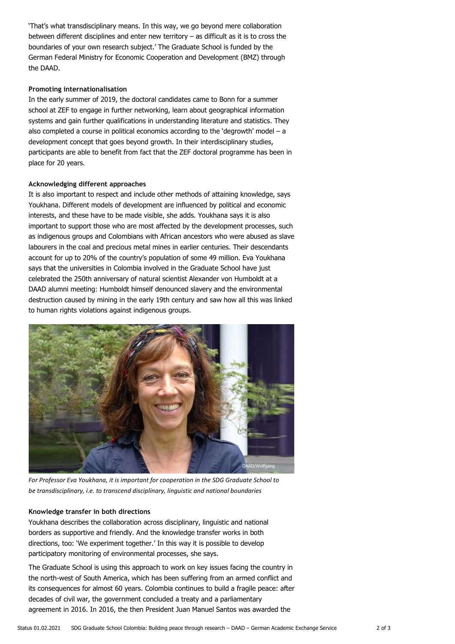'That's what transdisciplinary means. In this way, we go beyond mere collaboration between different disciplines and enter new territory  $-$  as difficult as it is to cross the boundaries of your own research subject.' The Graduate School is funded by the German Federal Ministry for Economic Cooperation and Development (BMZ) through the DAAD.

### Promoting internationalisation

In the early summer of 2019, the doctoral candidates came to Bonn for a summer school at ZEF to engage in further networking, learn about geographical information systems and gain further qualifications in understanding literature and statistics. They also completed a course in political economics according to the 'degrowth' model – a development concept that goes beyond growth. In their interdisciplinary studies, participants are able to benefit from fact that the ZEF doctoral programme has been in place for 20 years.

#### Acknowledging different approaches

It is also important to respect and include other methods of attaining knowledge, says Youkhana. Different models of development are influenced by political and economic interests, and these have to be made visible, she adds. Youkhana says it is also important to support those who are most affected by the development processes, such as indigenous groups and Colombians with African ancestors who were abused as slave labourers in the coal and precious metal mines in earlier centuries. Their descendants account for up to 20% of the country's population of some 49 million. Eva Youkhana says that the universities in Colombia involved in the Graduate School have just celebrated the 250th anniversary of natural scientist Alexander von Humboldt at a DAAD alumni meeting: Humboldt himself denounced slavery and the environmental destruction caused by mining in the early 19th century and saw how all this was linked to human rights violations against indigenous groups.



For Professor Eva Youkhana, it is important for cooperation in the SDG Graduate School to be transdisciplinary, i.e. to transcend disciplinary, linguistic and national boundaries

# Knowledge transfer in both directions

Youkhana describes the collaboration across disciplinary, linguistic and national borders as supportive and friendly. And the knowledge transfer works in both directions, too: 'We experiment together.' In this way it is possible to develop participatory monitoring of environmental processes, she says.

The Graduate School is using this approach to work on key issues facing the country in the north-west of South America, which has been suffering from an armed conflict and its consequences for almost 60 years. Colombia continues to build a fragile peace: after decades of civil war, the government concluded a treaty and a parliamentary agreement in 2016. In 2016, the then President Juan Manuel Santos was awarded the